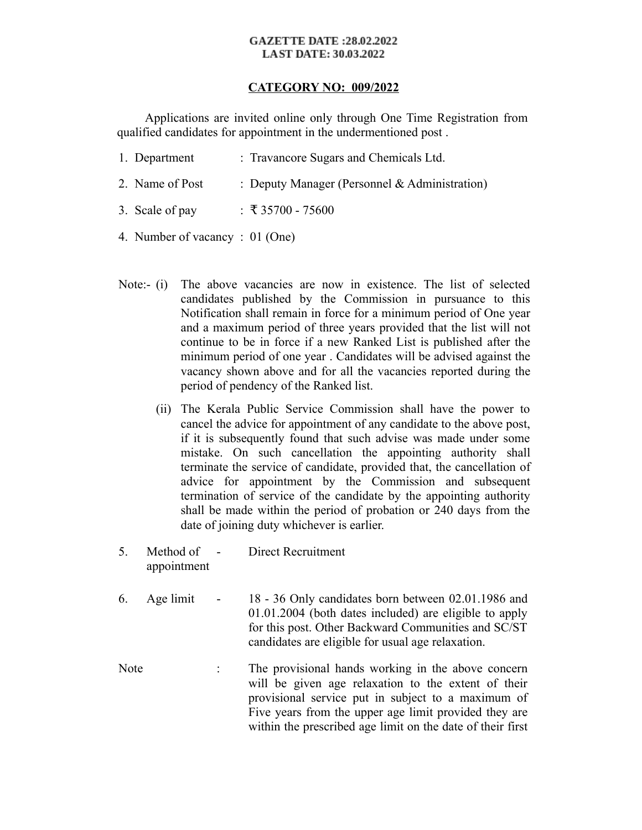#### **GAZETTE DATE:28.02.2022 LAST DATE: 30.03.2022**

### **CATEGORY NO: 009/2022**

 Applications are invited online only through One Time Registration from qualified candidates for appointment in the undermentioned post .

- 1. Department : Travancore Sugars and Chemicals Ltd.
- 2. Name of Post : Deputy Manager (Personnel & Administration)
- 3. Scale of pay : ₹ 35700 75600
- 4. Number of vacancy : 01 (One)
- Note:- (i) The above vacancies are now in existence. The list of selected candidates published by the Commission in pursuance to this Notification shall remain in force for a minimum period of One year and a maximum period of three years provided that the list will not continue to be in force if a new Ranked List is published after the minimum period of one year . Candidates will be advised against the vacancy shown above and for all the vacancies reported during the period of pendency of the Ranked list.
	- (ii) The Kerala Public Service Commission shall have the power to cancel the advice for appointment of any candidate to the above post, if it is subsequently found that such advise was made under some mistake. On such cancellation the appointing authority shall terminate the service of candidate, provided that, the cancellation of advice for appointment by the Commission and subsequent termination of service of the candidate by the appointing authority shall be made within the period of probation or 240 days from the date of joining duty whichever is earlier.
- 5. Method of appointment Direct Recruitment
- 6. Age limit 18 36 Only candidates born between 02.01.1986 and 01.01.2004 (both dates included) are eligible to apply for this post. Other Backward Communities and SC/ST candidates are eligible for usual age relaxation.
- Note : The provisional hands working in the above concern will be given age relaxation to the extent of their provisional service put in subject to a maximum of Five years from the upper age limit provided they are within the prescribed age limit on the date of their first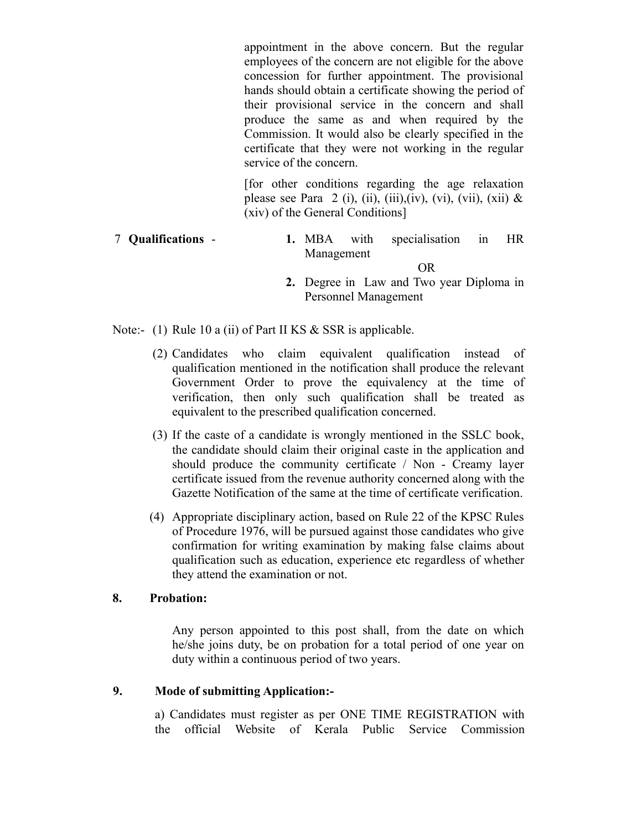appointment in the above concern. But the regular employees of the concern are not eligible for the above concession for further appointment. The provisional hands should obtain a certificate showing the period of their provisional service in the concern and shall produce the same as and when required by the Commission. It would also be clearly specified in the certificate that they were not working in the regular service of the concern.

[for other conditions regarding the age relaxation please see Para 2 (i), (ii), (iii),(iv), (vi), (vii), (xii)  $\&$ (xiv) of the General Conditions]

# 7 **Qualifications** - **1.** MBA with specialisation in HR Management

- OR
- **2.** Degree in Law and Two year Diploma in Personnel Management

Note:- (1) Rule 10 a (ii) of Part II KS & SSR is applicable.

- (2) Candidates who claim equivalent qualification instead of qualification mentioned in the notification shall produce the relevant Government Order to prove the equivalency at the time of verification, then only such qualification shall be treated as equivalent to the prescribed qualification concerned.
- (3) If the caste of a candidate is wrongly mentioned in the SSLC book, the candidate should claim their original caste in the application and should produce the community certificate / Non - Creamy layer certificate issued from the revenue authority concerned along with the Gazette Notification of the same at the time of certificate verification.
- (4) Appropriate disciplinary action, based on Rule 22 of the KPSC Rules of Procedure 1976, will be pursued against those candidates who give confirmation for writing examination by making false claims about qualification such as education, experience etc regardless of whether they attend the examination or not.

### **8. Probation:**

Any person appointed to this post shall, from the date on which he/she joins duty, be on probation for a total period of one year on duty within a continuous period of two years.

## **9. Mode of submitting Application:-**

a) Candidates must register as per ONE TIME REGISTRATION with the official Website of Kerala Public Service Commission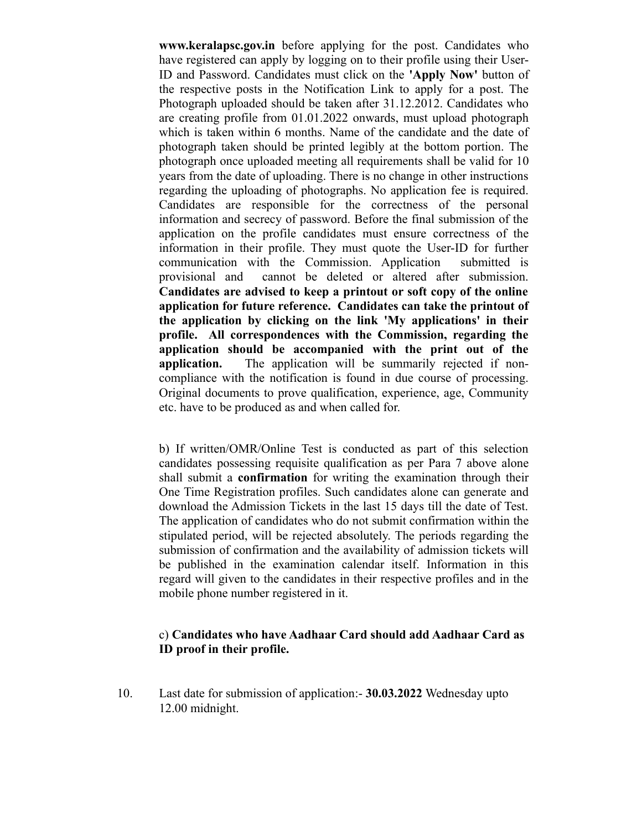**www.keralapsc.gov.in** before applying for the post. Candidates who have registered can apply by logging on to their profile using their User-ID and Password. Candidates must click on the **'Apply Now'** button of the respective posts in the Notification Link to apply for a post. The Photograph uploaded should be taken after 31.12.2012. Candidates who are creating profile from 01.01.2022 onwards, must upload photograph which is taken within 6 months. Name of the candidate and the date of photograph taken should be printed legibly at the bottom portion. The photograph once uploaded meeting all requirements shall be valid for 10 years from the date of uploading. There is no change in other instructions regarding the uploading of photographs. No application fee is required. Candidates are responsible for the correctness of the personal information and secrecy of password. Before the final submission of the application on the profile candidates must ensure correctness of the information in their profile. They must quote the User-ID for further communication with the Commission. Application submitted is provisional and cannot be deleted or altered after submission. **Candidates are advised to keep a printout or soft copy of the online application for future reference. Candidates can take the printout of the application by clicking on the link 'My applications' in their profile. All correspondences with the Commission, regarding the application should be accompanied with the print out of the application.** The application will be summarily rejected if noncompliance with the notification is found in due course of processing. Original documents to prove qualification, experience, age, Community etc. have to be produced as and when called for.

b) If written/OMR/Online Test is conducted as part of this selection candidates possessing requisite qualification as per Para 7 above alone shall submit a **confirmation** for writing the examination through their One Time Registration profiles. Such candidates alone can generate and download the Admission Tickets in the last 15 days till the date of Test. The application of candidates who do not submit confirmation within the stipulated period, will be rejected absolutely. The periods regarding the submission of confirmation and the availability of admission tickets will be published in the examination calendar itself. Information in this regard will given to the candidates in their respective profiles and in the mobile phone number registered in it.

# c) **Candidates who have Aadhaar Card should add Aadhaar Card as ID proof in their profile.**

10. Last date for submission of application:- **30.03.2022** Wednesday upto 12.00 midnight.